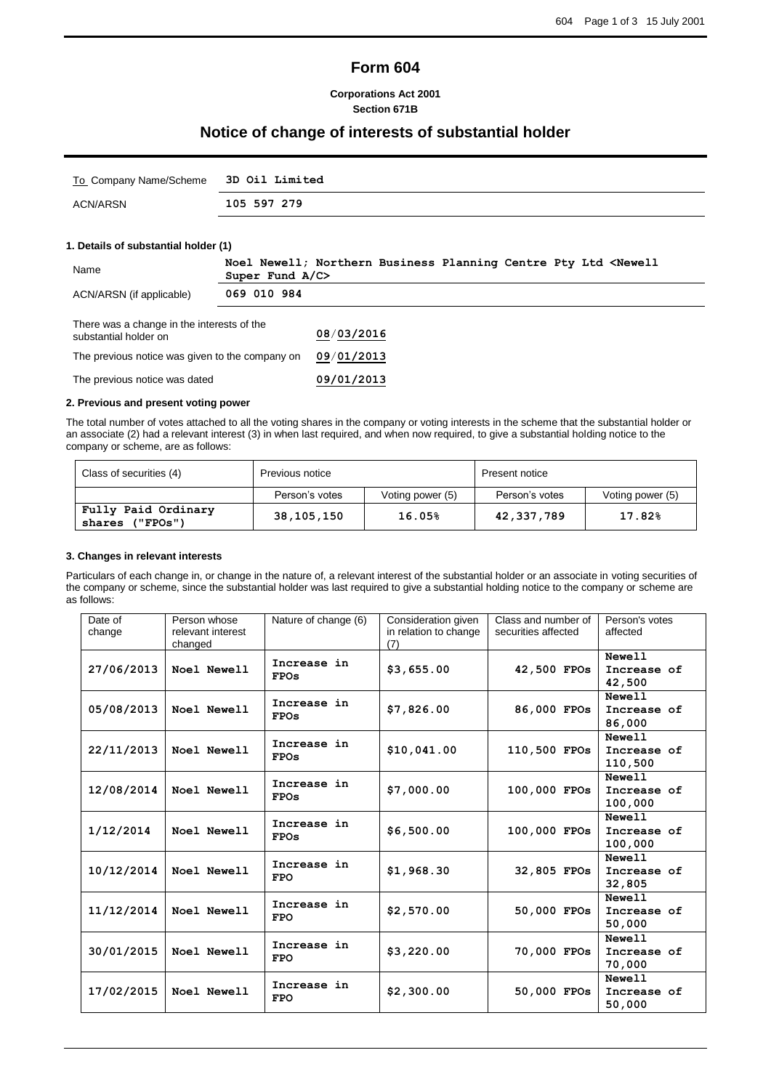# **Form 604**

**Corporations Act 2001 Section 671B**

## **Notice of change of interests of substantial holder**

| To Company Name/Scheme 3D Oil Limited |             |
|---------------------------------------|-------------|
| ACN/ARSN                              | 105 597 279 |

### **1. Details of substantial holder (1)**

| Name                                                                | Super Fund $A/C$ | Noel Newell; Northern Business Planning Centre Pty Ltd <newell< th=""></newell<> |  |
|---------------------------------------------------------------------|------------------|----------------------------------------------------------------------------------|--|
| ACN/ARSN (if applicable)                                            | 069 010 984      |                                                                                  |  |
| There was a change in the interests of the<br>substantial holder on |                  | 08/03/2016                                                                       |  |
| The previous notice was given to the company on                     |                  | 09/01/2013                                                                       |  |
| The previous notice was dated                                       |                  | 09/01/2013                                                                       |  |

#### **2. Previous and present voting power**

The total number of votes attached to all the voting shares in the company or voting interests in the scheme that the substantial holder or an associate (2) had a relevant interest (3) in when last required, and when now required, to give a substantial holding notice to the company or scheme, are as follows:

| Class of securities (4)                   | Previous notice |                  | Present notice |                  |
|-------------------------------------------|-----------------|------------------|----------------|------------------|
|                                           | Person's votes  | Voting power (5) | Person's votes | Voting power (5) |
| Fully Paid Ordinary<br>('FPOS")<br>shares | 38, 105, 150    | 16.05%           | 42,337,789     | 17.82%           |

#### **3. Changes in relevant interests**

Particulars of each change in, or change in the nature of, a relevant interest of the substantial holder or an associate in voting securities of the company or scheme, since the substantial holder was last required to give a substantial holding notice to the company or scheme are as follows:

| Date of<br>change | Person whose<br>relevant interest<br>changed | Nature of change (6)       | Consideration given<br>in relation to change<br>(7) | Class and number of<br>securities affected | Person's votes<br>affected       |
|-------------------|----------------------------------------------|----------------------------|-----------------------------------------------------|--------------------------------------------|----------------------------------|
| 27/06/2013        | Noel Newell                                  | Increase in<br><b>FPOs</b> | \$3,655.00                                          | 42,500 FPOs                                | Newell<br>Increase of<br>42,500  |
| 05/08/2013        | Noel Newell                                  | Increase in<br><b>FPOs</b> | \$7,826.00                                          | 86,000 FPOs                                | Newell<br>Increase of<br>86,000  |
| 22/11/2013        | Noel Newell                                  | Increase in<br><b>FPOs</b> | \$10,041.00                                         | 110,500 FPOs                               | Newell<br>Increase of<br>110,500 |
| 12/08/2014        | Noel Newell                                  | Increase in<br><b>FPOs</b> | \$7,000.00                                          | 100,000 FPOs                               | Newell<br>Increase of<br>100,000 |
| 1/12/2014         | Noel Newell                                  | Increase in<br><b>FPOs</b> | \$6,500.00                                          | 100,000 FPOs                               | Newell<br>Increase of<br>100,000 |
| 10/12/2014        | Noel Newell                                  | Increase in<br><b>FPO</b>  | \$1,968.30                                          | 32,805 FPOs                                | Newell<br>Increase of<br>32,805  |
| 11/12/2014        | Noel Newell                                  | Increase in<br><b>FPO</b>  | \$2,570.00                                          | 50,000 FPOs                                | Newell<br>Increase of<br>50,000  |
| 30/01/2015        | Noel Newell                                  | Increase in<br><b>FPO</b>  | \$3,220.00                                          | 70,000 FPOs                                | Newell<br>Increase of<br>70,000  |
| 17/02/2015        | Noel Newell                                  | Increase in<br><b>FPO</b>  | \$2,300.00                                          | 50,000 FPOs                                | Newell<br>Increase of<br>50,000  |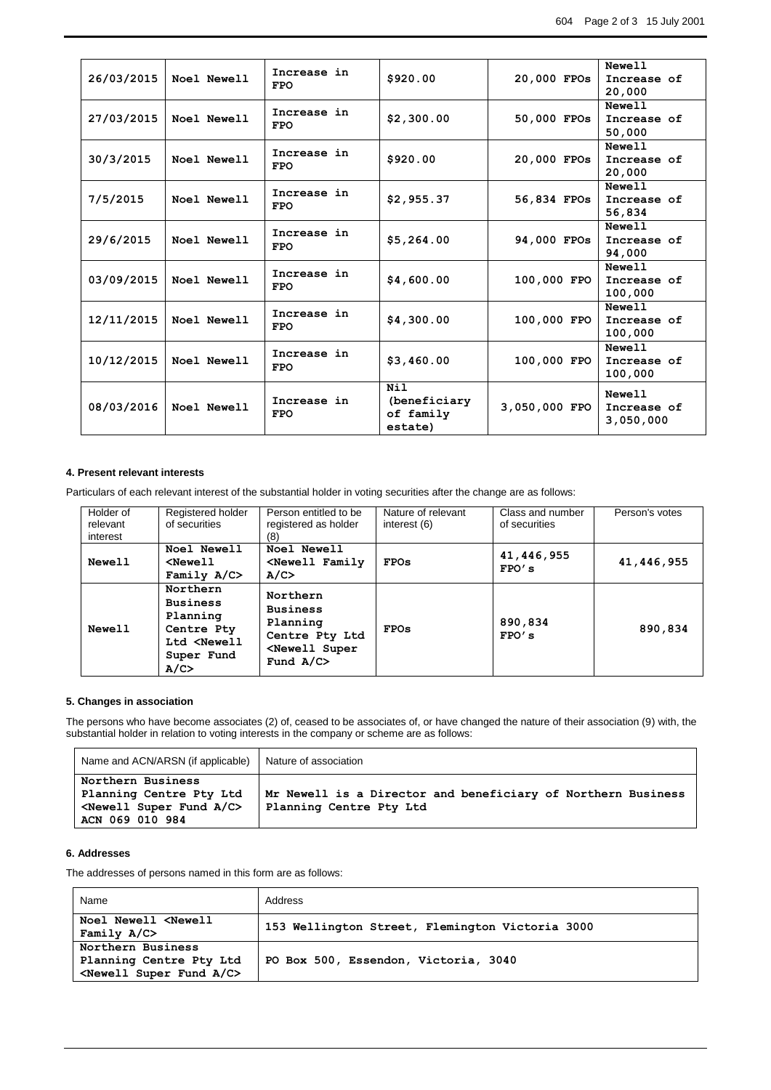|            |             | Increase in               |                      |               | Newell                 |
|------------|-------------|---------------------------|----------------------|---------------|------------------------|
| 26/03/2015 | Noel Newell | <b>FPO</b>                | \$920.00             | 20,000 FPOs   | Increase of<br>20,000  |
|            |             | Increase in               |                      |               | Newell                 |
| 27/03/2015 | Noel Newell | <b>FPO</b>                | \$2,300.00           | 50,000 FPOs   | Increase of<br>50,000  |
|            |             | Increase in               |                      |               | Newell                 |
| 30/3/2015  | Noel Newell | <b>FPO</b>                | \$920.00             | 20,000 FPOs   | Increase of<br>20,000  |
|            |             | Increase in               |                      |               | Newell                 |
| 7/5/2015   | Noel Newell | <b>FPO</b>                | \$2,955.37           | 56,834 FPOs   | Increase of<br>56,834  |
|            |             | Increase in               |                      |               | Newell                 |
| 29/6/2015  | Noel Newell | <b>FPO</b>                | \$5,264.00           | 94,000 FPOs   | Increase of            |
|            |             |                           |                      |               | 94,000                 |
|            | Noel Newell | Increase in               |                      |               | <b>Newell</b>          |
| 03/09/2015 |             | <b>FPO</b>                | \$4,600.00           | 100,000 FPO   | Increase of<br>100,000 |
|            |             |                           |                      |               | Newell                 |
| 12/11/2015 | Noel Newell | Increase in<br><b>FPO</b> | \$4,300.00           | 100,000 FPO   | Increase of            |
|            |             |                           |                      |               | 100,000                |
|            |             | Increase in               |                      |               | <b>Newell</b>          |
| 10/12/2015 | Noel Newell | <b>FPO</b>                | \$3,460.00           | 100,000 FPO   | Increase of            |
|            |             |                           |                      |               | 100,000                |
|            |             |                           | Nil                  |               | Newell                 |
| 08/03/2016 | Noel Newell | Increase in<br><b>FPO</b> | (beneficiary         | 3,050,000 FPO | Increase of            |
|            |             |                           | of family<br>estate) |               | 3,050,000              |
|            |             |                           |                      |               |                        |

#### **4. Present relevant interests**

Particulars of each relevant interest of the substantial holder in voting securities after the change are as follows:

| Holder of<br>relevant<br>interest | Registered holder<br>of securities                                                                     | Person entitled to be<br>registered as holder<br>(8)                                                            | Nature of relevant<br>interest (6) | Class and number<br>of securities | Person's votes |
|-----------------------------------|--------------------------------------------------------------------------------------------------------|-----------------------------------------------------------------------------------------------------------------|------------------------------------|-----------------------------------|----------------|
| Newell                            | Noel Newell<br>$Newel1$<br>Family $A/C$                                                                | Noel Newell<br><newell family<br="">A/C</newell>                                                                | <b>FPOs</b>                        | 41,446,955<br>FPO's               | 41,446,955     |
| Newell                            | Northern<br><b>Business</b><br>Planning<br>Centre Pty<br>Ltd <newell<br>Super Fund<br/>A/C</newell<br> | Northern<br><b>Business</b><br>Planning<br>Centre Pty Ltd<br><newell super<br="">Fund <math>A/C</math></newell> | <b>FPOs</b>                        | 890,834<br>FPO's                  | 890,834        |

### **5. Changes in association**

The persons who have become associates (2) of, ceased to be associates of, or have changed the nature of their association (9) with, the substantial holder in relation to voting interests in the company or scheme are as follows:

| Name and ACN/ARSN (if applicable)                                                                | Nature of association                                                                   |
|--------------------------------------------------------------------------------------------------|-----------------------------------------------------------------------------------------|
| Northern Business<br>Planning Centre Pty Ltd<br>$\leq$ Newell Super Fund A/C><br>ACN 069 010 984 | Mr Newell is a Director and beneficiary of Northern Business<br>Planning Centre Pty Ltd |

## **6. Addresses**

The addresses of persons named in this form are as follows:

| Name                                                                                         | Address                                         |
|----------------------------------------------------------------------------------------------|-------------------------------------------------|
| Noel Newell <newell<br>Family <math>A/C</math></newell<br>                                   | 153 Wellington Street, Flemington Victoria 3000 |
| Northern Business<br>Planning Centre Pty Ltd<br><newell a="" c="" fund="" super=""></newell> | PO Box 500, Essendon, Victoria, 3040            |